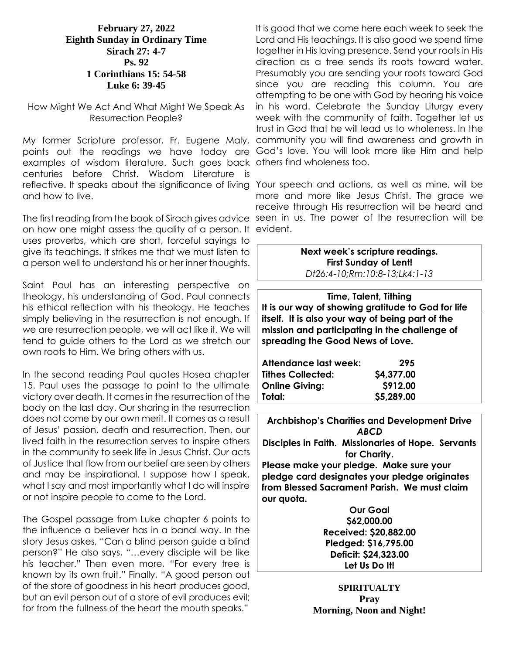#### **February 27, 2022 Eighth Sunday in Ordinary Time Sirach 27: 4-7 Ps. 92 1 Corinthians 15: 54-58 Luke 6: 39-45**

#### How Might We Act And What Might We Speak As Resurrection People?

My former Scripture professor, Fr. Eugene Maly, points out the readings we have today are God's love. You will look more like Him and help examples of wisdom literature. Such goes back others find wholeness too. centuries before Christ. Wisdom Literature is reflective. It speaks about the significance of living Your speech and actions, as well as mine, will be and how to live.

on how one might assess the quality of a person. It evident. uses proverbs, which are short, forceful sayings to give its teachings. It strikes me that we must listen to a person well to understand his or her inner thoughts.

Saint Paul has an interesting perspective on theology, his understanding of God. Paul connects his ethical reflection with his theology. He teaches simply believing in the resurrection is not enough. If we are resurrection people, we will act like it. We will tend to guide others to the Lord as we stretch our own roots to Him. We bring others with us.

In the second reading Paul quotes Hosea chapter 15. Paul uses the passage to point to the ultimate victory over death. It comes in the resurrection of the body on the last day. Our sharing in the resurrection does not come by our own merit. It comes as a result of Jesus' passion, death and resurrection. Then, our lived faith in the resurrection serves to inspire others in the community to seek life in Jesus Christ. Our acts of Justice that flow from our belief are seen by others and may be inspirational. I suppose how I speak, what I say and most importantly what I do will inspire or not inspire people to come to the Lord.

The Gospel passage from Luke chapter 6 points to the influence a believer has in a banal way. In the story Jesus askes, "Can a blind person guide a blind person?" He also says, "…every disciple will be like his teacher." Then even more, "For every tree is known by its own fruit." Finally, "A good person out of the store of goodness in his heart produces good, but an evil person out of a store of evil produces evil; for from the fullness of the heart the mouth speaks."

It is good that we come here each week to seek the Lord and His teachings. It is also good we spend time together in His loving presence. Send your roots in His direction as a tree sends its roots toward water. Presumably you are sending your roots toward God since you are reading this column. You are attempting to be one with God by hearing his voice in his word. Celebrate the Sunday Liturgy every week with the community of faith. Together let us trust in God that he will lead us to wholeness. In the community you will find awareness and growth in

The first reading from the book of Sirach gives advice seen in us. The power of the resurrection will be more and more like Jesus Christ. The grace we receive through His resurrection will be heard and

> **Next week's scripture readings. First Sunday of Lent!** *Dt26:4-10;Rm:10:8-13;Lk4:1-13*

**Time, Talent, Tithing It is our way of showing gratitude to God for life itself. It is also your way of being part of the mission and participating in the challenge of spreading the Good News of Love.**

| Attendance last week:    | 295        |
|--------------------------|------------|
| <b>Tithes Collected:</b> | \$4,377.00 |
| <b>Online Giving:</b>    | S912.00    |
| Total:                   | \$5,289.00 |
|                          |            |

**Archbishop's Charities and Development Drive** *ABCD* **Disciples in Faith. Missionaries of Hope. Servants for Charity. Please make your pledge. Make sure your** 

**pledge card designates your pledge originates from Blessed Sacrament Parish. We must claim our quota.** 

> **Our Goal \$62,000.00 Received: \$20,882.00 Pledged: \$16,795.00 Deficit: \$24,323.00 Let Us Do It!**

**SPIRITUALTY Pray Morning, Noon and Night!**